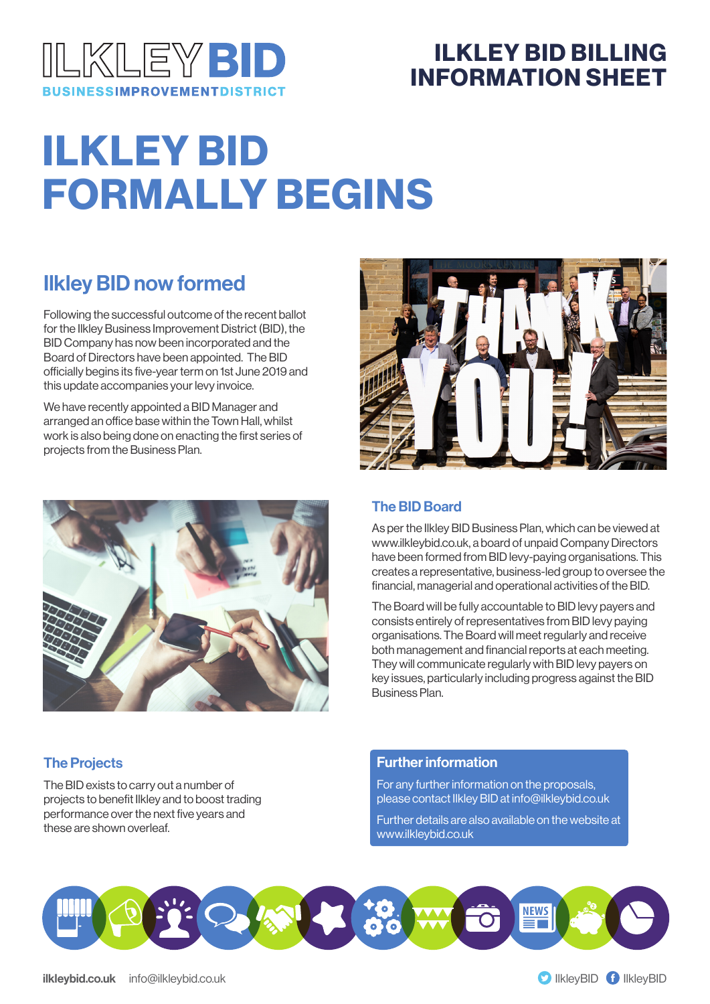

### ILKLEY BID BILLING INFORMATION SHEET

# ILKLEY BID FORMALLY BEGINS

### Ilkley BID now formed

Following the successful outcome of the recent ballot for the Ilkley Business Improvement District (BID), the BID Company has now been incorporated and the Board of Directors have been appointed. The BID officially begins its five-year term on 1st June 2019 and this update accompanies your levy invoice.

We have recently appointed a BID Manager and arranged an office base within the Town Hall, whilst work is also being done on enacting the first series of projects from the Business Plan.





#### The BID Board

As per the Ilkley BID Business Plan, which can be viewed at www.ilkleybid.co.uk, a board of unpaid Company Directors have been formed from BID levy-paying organisations. This creates a representative, business-led group to oversee the financial, managerial and operational activities of the BID.

The Board will be fully accountable to BID levy payers and consists entirely of representatives from BID levy paying organisations. The Board will meet regularly and receive both management and financial reports at each meeting. They will communicate regularly with BID levy payers on key issues, particularly including progress against the BID Business Plan.

#### The Projects

The BID exists to carry out a number of projects to benefit Ilkley and to boost trading performance over the next five years and these are shown overleaf.

#### Further information

For any further information on the proposals, please contact Ilkley BID at info@ilkleybid.co.uk

Further details are also available on the website at www.ilkleybid.co.uk